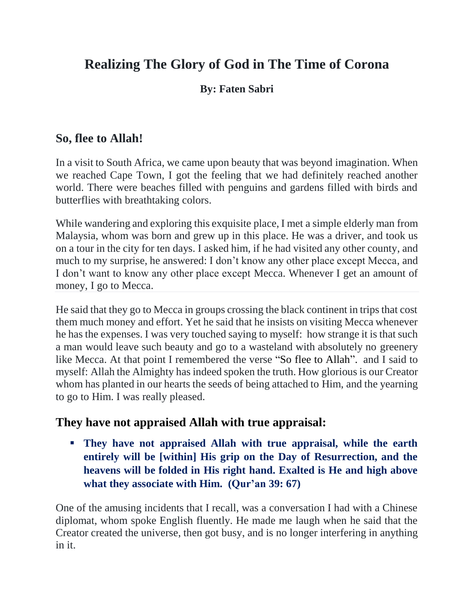# **Realizing The Glory of God in The Time of Corona**

### **By: Faten Sabri**

# **So, flee to Allah!**

In a visit to South Africa, we came upon beauty that was beyond imagination. When we reached Cape Town, I got the feeling that we had definitely reached another world. There were beaches filled with penguins and gardens filled with birds and butterflies with breathtaking colors.

While wandering and exploring this exquisite place, I met a simple elderly man from Malaysia, whom was born and grew up in this place. He was a driver, and took us on a tour in the city for ten days. I asked him, if he had visited any other county, and much to my surprise, he answered: I don't know any other place except Mecca, and I don't want to know any other place except Mecca. Whenever I get an amount of money, I go to Mecca.

He said that they go to Mecca in groups crossing the black continent in trips that cost them much money and effort. Yet he said that he insists on visiting Mecca whenever he has the expenses. I was very touched saying to myself: how strange it is that such a man would leave such beauty and go to a wasteland with absolutely no greenery like Mecca. At that point I remembered the verse "So flee to Allah". and I said to myself: Allah the Almighty has indeed spoken the truth. How glorious is our Creator whom has planted in our hearts the seeds of being attached to Him, and the yearning to go to Him. I was really pleased.

### **They have not appraised Allah with true appraisal:**

▪ **They have not appraised Allah with true appraisal, while the earth entirely will be [within] His grip on the Day of Resurrection, and the heavens will be folded in His right hand. Exalted is He and high above what they associate with Him. (Qur'an 39: 67)**

One of the amusing incidents that I recall, was a conversation I had with a Chinese diplomat, whom spoke English fluently. He made me laugh when he said that the Creator created the universe, then got busy, and is no longer interfering in anything in it.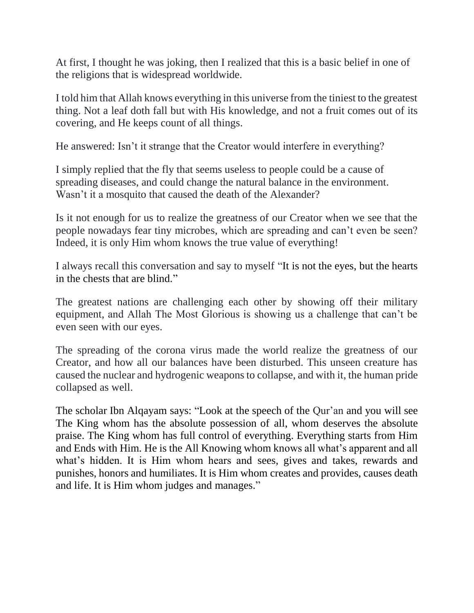At first, I thought he was joking, then I realized that this is a basic belief in one of the religions that is widespread worldwide.

I told him that Allah knows everything in this universe from the tiniest to the greatest thing. Not a leaf doth fall but with His knowledge, and not a fruit comes out of its covering, and He keeps count of all things.

He answered: Isn't it strange that the Creator would interfere in everything?

I simply replied that the fly that seems useless to people could be a cause of spreading diseases, and could change the natural balance in the environment. Wasn't it a mosquito that caused the death of the Alexander?

Is it not enough for us to realize the greatness of our Creator when we see that the people nowadays fear tiny microbes, which are spreading and can't even be seen? Indeed, it is only Him whom knows the true value of everything!

I always recall this conversation and say to myself "It is not the eyes, but the hearts in the chests that are blind."

The greatest nations are challenging each other by showing off their military equipment, and Allah The Most Glorious is showing us a challenge that can't be even seen with our eyes.

The spreading of the corona virus made the world realize the greatness of our Creator, and how all our balances have been disturbed. This unseen creature has caused the nuclear and hydrogenic weapons to collapse, and with it, the human pride collapsed as well.

The scholar Ibn Alqayam says: "Look at the speech of the Qur'an and you will see The King whom has the absolute possession of all, whom deserves the absolute praise. The King whom has full control of everything. Everything starts from Him and Ends with Him. He is the All Knowing whom knows all what's apparent and all what's hidden. It is Him whom hears and sees, gives and takes, rewards and punishes, honors and humiliates. It is Him whom creates and provides, causes death and life. It is Him whom judges and manages."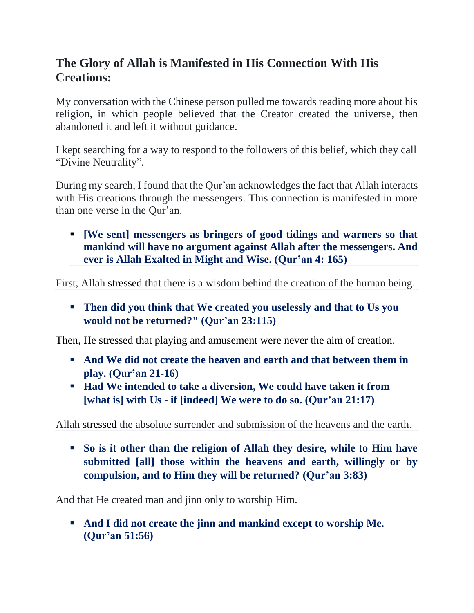# **The Glory of Allah is Manifested in His Connection With His Creations:**

My conversation with the Chinese person pulled me towards reading more about his religion, in which people believed that the Creator created the universe, then abandoned it and left it without guidance.

I kept searching for a way to respond to the followers of this belief, which they call "Divine Neutrality".

During my search, I found that the Qur'an acknowledges the fact that Allah interacts with His creations through the messengers. This connection is manifested in more than one verse in the Qur'an.

▪ **[We sent] messengers as bringers of good tidings and warners so that mankind will have no argument against Allah after the messengers. And ever is Allah Exalted in Might and Wise. (Qur'an 4: 165)**

First, Allah stressed that there is a wisdom behind the creation of the human being.

▪ **Then did you think that We created you uselessly and that to Us you would not be returned?" (Qur'an 23:115)**

Then, He stressed that playing and amusement were never the aim of creation.

- And We did not create the heaven and earth and that between them in **play. (Qur'an 21-16)**
- **Had We intended to take a diversion, We could have taken it from [what is] with Us - if [indeed] We were to do so. (Qur'an 21:17)**

Allah stressed the absolute surrender and submission of the heavens and the earth.

▪ **So is it other than the religion of Allah they desire, while to Him have submitted [all] those within the heavens and earth, willingly or by compulsion, and to Him they will be returned? (Qur'an 3:83)**

And that He created man and jinn only to worship Him.

▪ **And I did not create the jinn and mankind except to worship Me. (Qur'an 51:56)**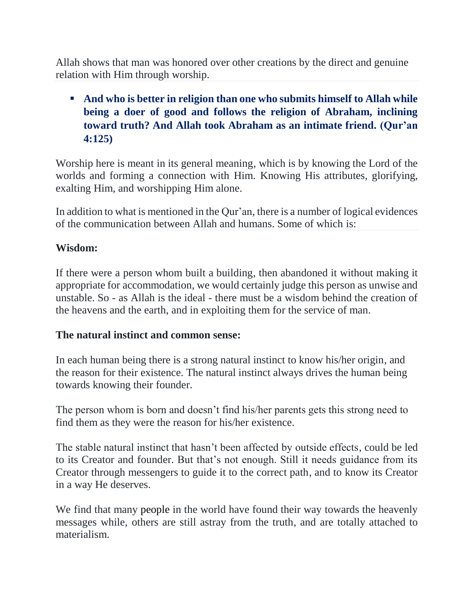Allah shows that man was honored over other creations by the direct and genuine relation with Him through worship.

## ■ And who is better in religion than one who submits himself to Allah while **being a doer of good and follows the religion of Abraham, inclining toward truth? And Allah took Abraham as an intimate friend. (Qur'an 4:125)**

Worship here is meant in its general meaning, which is by knowing the Lord of the worlds and forming a connection with Him. Knowing His attributes, glorifying, exalting Him, and worshipping Him alone.

In addition to what is mentioned in the Qur'an, there is a number of logical evidences of the communication between Allah and humans. Some of which is:

#### **Wisdom:**

If there were a person whom built a building, then abandoned it without making it appropriate for accommodation, we would certainly judge this person as unwise and unstable. So - as Allah is the ideal - there must be a wisdom behind the creation of the heavens and the earth, and in exploiting them for the service of man.

#### **The natural instinct and common sense:**

In each human being there is a strong natural instinct to know his/her origin, and the reason for their existence. The natural instinct always drives the human being towards knowing their founder.

The person whom is born and doesn't find his/her parents gets this strong need to find them as they were the reason for his/her existence.

The stable natural instinct that hasn't been affected by outside effects, could be led to its Creator and founder. But that's not enough. Still it needs guidance from its Creator through messengers to guide it to the correct path, and to know its Creator in a way He deserves.

We find that many people in the world have found their way towards the heavenly messages while, others are still astray from the truth, and are totally attached to materialism.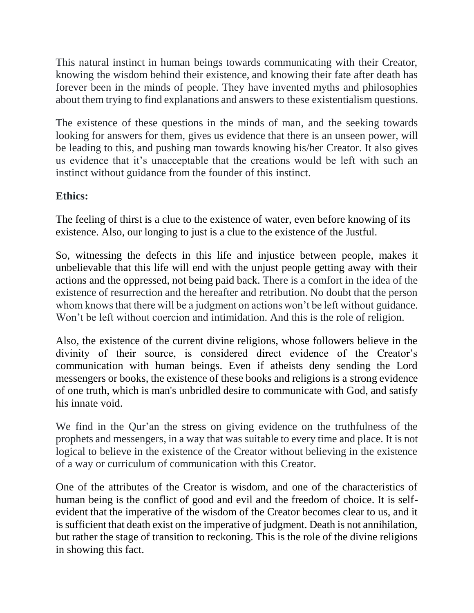This natural instinct in human beings towards communicating with their Creator, knowing the wisdom behind their existence, and knowing their fate after death has forever been in the minds of people. They have invented myths and philosophies about them trying to find explanations and answers to these existentialism questions.

The existence of these questions in the minds of man, and the seeking towards looking for answers for them, gives us evidence that there is an unseen power, will be leading to this, and pushing man towards knowing his/her Creator. It also gives us evidence that it's unacceptable that the creations would be left with such an instinct without guidance from the founder of this instinct.

### **Ethics:**

The feeling of thirst is a clue to the existence of water, even before knowing of its existence. Also, our longing to just is a clue to the existence of the Justful.

So, witnessing the defects in this life and injustice between people, makes it unbelievable that this life will end with the unjust people getting away with their actions and the oppressed, not being paid back. There is a comfort in the idea of the existence of resurrection and the hereafter and retribution. No doubt that the person whom knows that there will be a judgment on actions won't be left without guidance. Won't be left without coercion and intimidation. And this is the role of religion.

Also, the existence of the current divine religions, whose followers believe in the divinity of their source, is considered direct evidence of the Creator's communication with human beings. Even if atheists deny sending the Lord messengers or books, the existence of these books and religions is a strong evidence of one truth, which is man's unbridled desire to communicate with God, and satisfy his innate void.

We find in the Qur'an the stress on giving evidence on the truthfulness of the prophets and messengers, in a way that was suitable to every time and place. It is not logical to believe in the existence of the Creator without believing in the existence of a way or curriculum of communication with this Creator.

One of the attributes of the Creator is wisdom, and one of the characteristics of human being is the conflict of good and evil and the freedom of choice. It is selfevident that the imperative of the wisdom of the Creator becomes clear to us, and it is sufficient that death exist on the imperative of judgment. Death is not annihilation, but rather the stage of transition to reckoning. This is the role of the divine religions in showing this fact.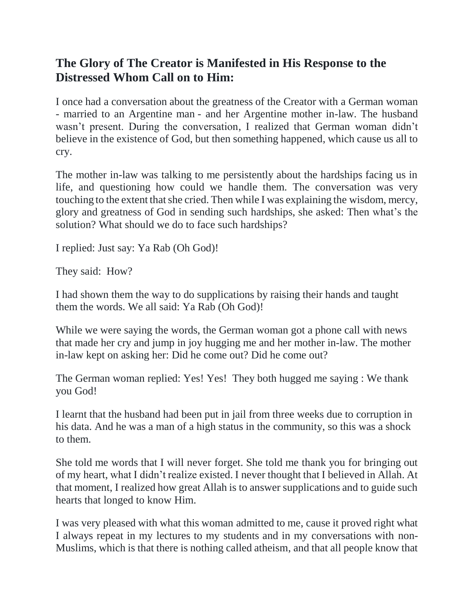# **The Glory of The Creator is Manifested in His Response to the Distressed Whom Call on to Him:**

I once had a conversation about the greatness of the Creator with a German woman - married to an Argentine man - and her Argentine mother in-law. The husband wasn't present. During the conversation, I realized that German woman didn't believe in the existence of God, but then something happened, which cause us all to cry.

The mother in-law was talking to me persistently about the hardships facing us in life, and questioning how could we handle them. The conversation was very touching to the extent that she cried. Then while I was explaining the wisdom, mercy, glory and greatness of God in sending such hardships, she asked: Then what's the solution? What should we do to face such hardships?

I replied: Just say: Ya Rab (Oh God)!

They said: How?

I had shown them the way to do supplications by raising their hands and taught them the words. We all said: Ya Rab (Oh God)!

While we were saying the words, the German woman got a phone call with news that made her cry and jump in joy hugging me and her mother in-law. The mother in-law kept on asking her: Did he come out? Did he come out?

The German woman replied: Yes! Yes! They both hugged me saying : We thank you God!

I learnt that the husband had been put in jail from three weeks due to corruption in his data. And he was a man of a high status in the community, so this was a shock to them.

She told me words that I will never forget. She told me thank you for bringing out of my heart, what I didn't realize existed. I never thought that I believed in Allah. At that moment, I realized how great Allah is to answer supplications and to guide such hearts that longed to know Him.

I was very pleased with what this woman admitted to me, cause it proved right what I always repeat in my lectures to my students and in my conversations with non-Muslims, which is that there is nothing called atheism, and that all people know that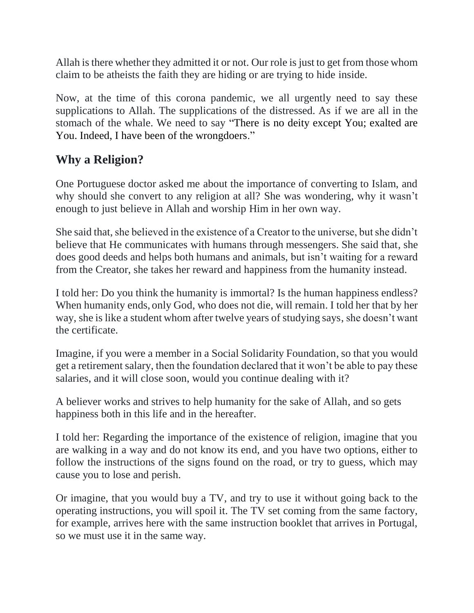Allah is there whether they admitted it or not. Our role is just to get from those whom claim to be atheists the faith they are hiding or are trying to hide inside.

Now, at the time of this corona pandemic, we all urgently need to say these supplications to Allah. The supplications of the distressed. As if we are all in the stomach of the whale. We need to say "There is no deity except You; exalted are You. Indeed, I have been of the wrongdoers."

# **Why a Religion?**

One Portuguese doctor asked me about the importance of converting to Islam, and why should she convert to any religion at all? She was wondering, why it wasn't enough to just believe in Allah and worship Him in her own way.

She said that, she believed in the existence of a Creator to the universe, but she didn't believe that He communicates with humans through messengers. She said that, she does good deeds and helps both humans and animals, but isn't waiting for a reward from the Creator, she takes her reward and happiness from the humanity instead.

I told her: Do you think the humanity is immortal? Is the human happiness endless? When humanity ends, only God, who does not die, will remain. I told her that by her way, she is like a student whom after twelve years of studying says, she doesn't want the certificate.

Imagine, if you were a member in a Social Solidarity Foundation, so that you would get a retirement salary, then the foundation declared that it won't be able to pay these salaries, and it will close soon, would you continue dealing with it?

A believer works and strives to help humanity for the sake of Allah, and so gets happiness both in this life and in the hereafter.

I told her: Regarding the importance of the existence of religion, imagine that you are walking in a way and do not know its end, and you have two options, either to follow the instructions of the signs found on the road, or try to guess, which may cause you to lose and perish.

Or imagine, that you would buy a TV, and try to use it without going back to the operating instructions, you will spoil it. The TV set coming from the same factory, for example, arrives here with the same instruction booklet that arrives in Portugal, so we must use it in the same way.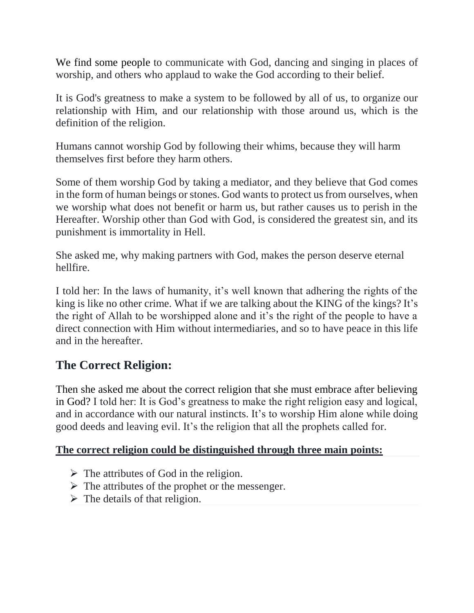We find some people to communicate with God, dancing and singing in places of worship, and others who applaud to wake the God according to their belief.

It is God's greatness to make a system to be followed by all of us, to organize our relationship with Him, and our relationship with those around us, which is the definition of the religion.

Humans cannot worship God by following their whims, because they will harm themselves first before they harm others.

Some of them worship God by taking a mediator, and they believe that God comes in the form of human beings or stones. God wants to protect us from ourselves, when we worship what does not benefit or harm us, but rather causes us to perish in the Hereafter. Worship other than God with God, is considered the greatest sin, and its punishment is immortality in Hell.

She asked me, why making partners with God, makes the person deserve eternal hellfire.

I told her: In the laws of humanity, it's well known that adhering the rights of the king is like no other crime. What if we are talking about the KING of the kings? It's the right of Allah to be worshipped alone and it's the right of the people to have a direct connection with Him without intermediaries, and so to have peace in this life and in the hereafter.

# **The Correct Religion:**

Then she asked me about the correct religion that she must embrace after believing in God? I told her: It is God's greatness to make the right religion easy and logical, and in accordance with our natural instincts. It's to worship Him alone while doing good deeds and leaving evil. It's the religion that all the prophets called for.

#### **The correct religion could be distinguished through three main points:**

- $\triangleright$  The attributes of God in the religion.
- $\triangleright$  The attributes of the prophet or the messenger.
- $\triangleright$  The details of that religion.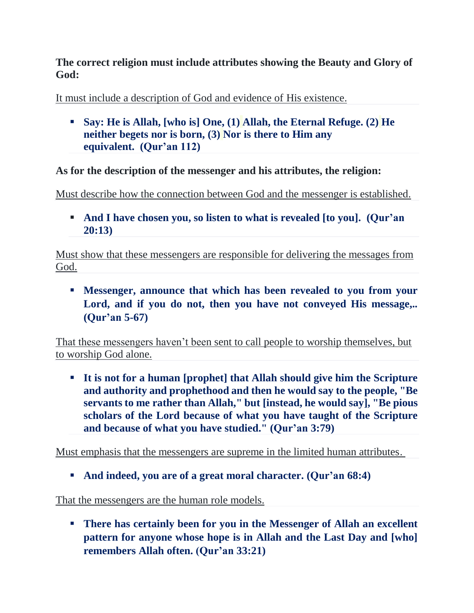#### **The correct religion must include attributes showing the Beauty and Glory of God:**

It must include a description of God and evidence of His existence.

▪ **Say: He is Allah, [who is] One, [\(1\)](http://tanzil.net/#trans/en.sahih/112:1) Allah, the Eternal Refuge. [\(2\)](http://tanzil.net/#trans/en.sahih/112:2) He neither begets nor is born, [\(3\)](http://tanzil.net/#trans/en.sahih/112:3) Nor is there to Him any equivalent. (Qur'an 112)**

**As for the description of the messenger and his attributes, the religion:**

Must describe how the connection between God and the messenger is established.

▪ **And I have chosen you, so listen to what is revealed [to you]. (Qur'an 20:13)**

Must show that these messengers are responsible for delivering the messages from God.

▪ **Messenger, announce that which has been revealed to you from your Lord, and if you do not, then you have not conveyed His message,.. (Qur'an 5-67)**

That these messengers haven't been sent to call people to worship themselves, but to worship God alone.

▪ **It is not for a human [prophet] that Allah should give him the Scripture and authority and prophethood and then he would say to the people, "Be servants to me rather than Allah," but [instead, he would say], "Be pious scholars of the Lord because of what you have taught of the Scripture and because of what you have studied." (Qur'an 3:79)**

Must emphasis that the messengers are supreme in the limited human attributes.

▪ **And indeed, you are of a great moral character. (Qur'an 68:4)**

That the messengers are the human role models.

▪ **There has certainly been for you in the Messenger of Allah an excellent pattern for anyone whose hope is in Allah and the Last Day and [who] remembers Allah often. (Qur'an 33:21)**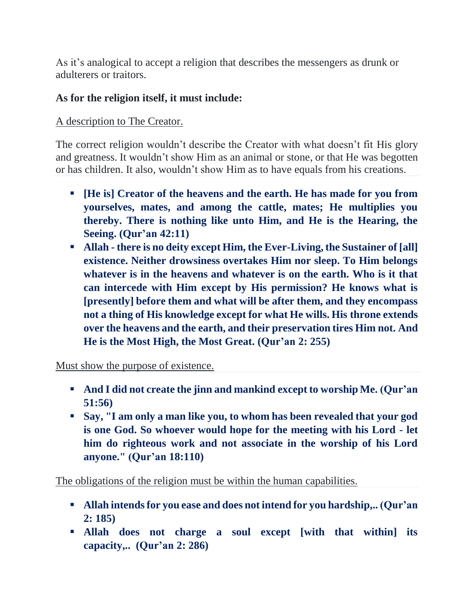As it's analogical to accept a religion that describes the messengers as drunk or adulterers or traitors.

### **As for the religion itself, it must include:**

#### A description to The Creator.

The correct religion wouldn't describe the Creator with what doesn't fit His glory and greatness. It wouldn't show Him as an animal or stone, or that He was begotten or has children. It also, wouldn't show Him as to have equals from his creations.

- **[He is] Creator of the heavens and the earth. He has made for you from yourselves, mates, and among the cattle, mates; He multiplies you thereby. There is nothing like unto Him, and He is the Hearing, the Seeing. (Qur'an 42:11)**
- **Allah - there is no deity except Him, the Ever-Living, the Sustainer of [all] existence. Neither drowsiness overtakes Him nor sleep. To Him belongs whatever is in the heavens and whatever is on the earth. Who is it that can intercede with Him except by His permission? He knows what is [presently] before them and what will be after them, and they encompass not a thing of His knowledge except for what He wills. His throne extends over the heavens and the earth, and their preservation tires Him not. And He is the Most High, the Most Great. (Qur'an 2: 255)**

Must show the purpose of existence.

- **And I did not create the jinn and mankind except to worship Me. (Qur'an 51:56)**
- **Say, "I am only a man like you, to whom has been revealed that your god is one God. So whoever would hope for the meeting with his Lord - let him do righteous work and not associate in the worship of his Lord anyone." (Qur'an 18:110)**

The obligations of the religion must be within the human capabilities.

- **Allah intends for you ease and does not intend for you hardship,.. (Qur'an 2: 185)**
- **Allah does not charge a soul except [with that within] its capacity,.. (Qur'an 2: 286)**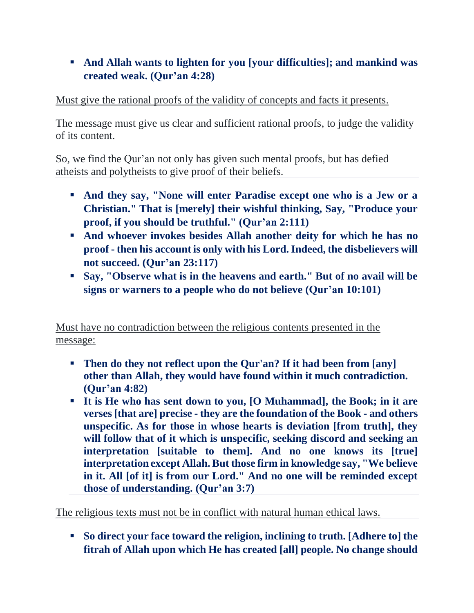## ■ And Allah wants to lighten for you [your difficulties]; and mankind was **created weak. (Qur'an 4:28)**

### Must give the rational proofs of the validity of concepts and facts it presents.

The message must give us clear and sufficient rational proofs, to judge the validity of its content.

So, we find the Qur'an not only has given such mental proofs, but has defied atheists and polytheists to give proof of their beliefs.

- **And they say, "None will enter Paradise except one who is a Jew or a Christian." That is [merely] their wishful thinking, Say, "Produce your proof, if you should be truthful." (Qur'an 2:111)**
- **And whoever invokes besides Allah another deity for which he has no proof - then his account is only with his Lord. Indeed, the disbelievers will not succeed. (Qur'an 23:117)**
- **Say, "Observe what is in the heavens and earth." But of no avail will be signs or warners to a people who do not believe (Qur'an 10:101)**

Must have no contradiction between the religious contents presented in the message:

- **Then do they not reflect upon the Qur'an? If it had been from [any] other than Allah, they would have found within it much contradiction. (Qur'an 4:82)**
- **It is He who has sent down to you, [O Muhammad], the Book; in it are verses [that are] precise - they are the foundation of the Book - and others unspecific. As for those in whose hearts is deviation [from truth], they will follow that of it which is unspecific, seeking discord and seeking an interpretation [suitable to them]. And no one knows its [true] interpretation except Allah. But those firm in knowledge say, "We believe in it. All [of it] is from our Lord." And no one will be reminded except those of understanding. (Qur'an 3:7)**

The religious texts must not be in conflict with natural human ethical laws.

▪ **So direct your face toward the religion, inclining to truth. [Adhere to] the fitrah of Allah upon which He has created [all] people. No change should**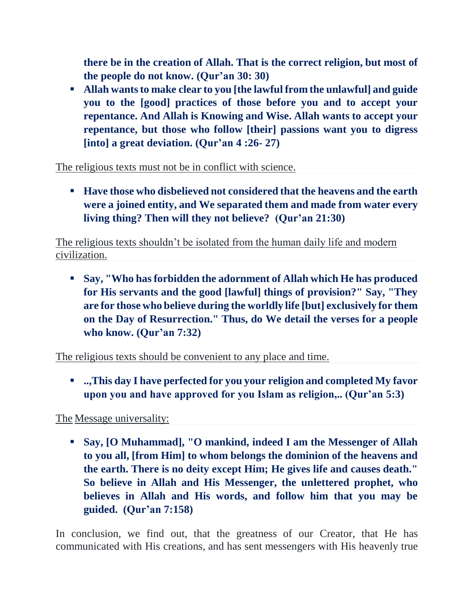**there be in the creation of Allah. That is the correct religion, but most of the people do not know. (Qur'an 30: 30)**

▪ **Allah wants to make clear to you [the lawful from the unlawful] and guide you to the [good] practices of those before you and to accept your repentance. And Allah is Knowing and Wise. Allah wants to accept your repentance, but those who follow [their] passions want you to digress [into] a great deviation. (Qur'an 4 :26- 27)**

The religious texts must not be in conflict with science.

■ **Have those who disbelieved not considered that the heavens and the earth were a joined entity, and We separated them and made from water every living thing? Then will they not believe? (Qur'an 21:30)**

The religious texts shouldn't be isolated from the human daily life and modern civilization.

▪ **Say, "Who has forbidden the adornment of Allah which He has produced for His servants and the good [lawful] things of provision?" Say, "They are for those who believe during the worldly life [but] exclusively for them on the Day of Resurrection." Thus, do We detail the verses for a people who know. (Qur'an 7:32)**

The religious texts should be convenient to any place and time.

▪ **..,This day I have perfected for you your religion and completed My favor upon you and have approved for you Islam as religion,.. (Qur'an 5:3)**

The Message universality:

▪ **Say, [O Muhammad], "O mankind, indeed I am the Messenger of Allah to you all, [from Him] to whom belongs the dominion of the heavens and the earth. There is no deity except Him; He gives life and causes death." So believe in Allah and His Messenger, the unlettered prophet, who believes in Allah and His words, and follow him that you may be guided. (Qur'an 7:158)**

In conclusion, we find out, that the greatness of our Creator, that He has communicated with His creations, and has sent messengers with His heavenly true